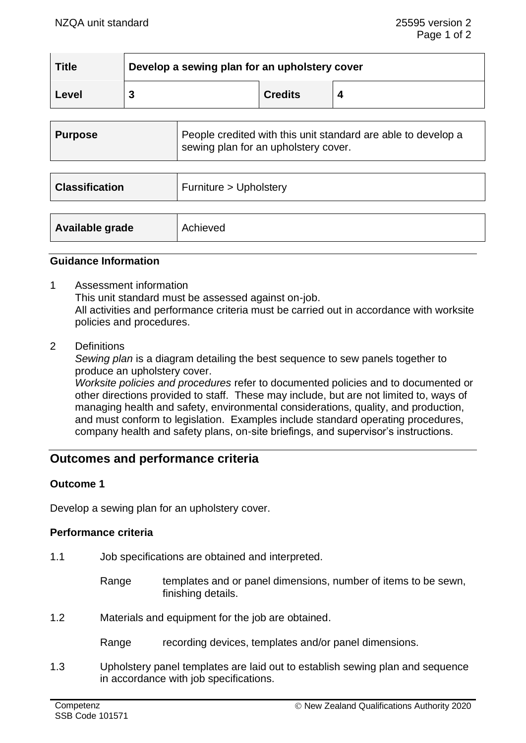| <b>Title</b> | Develop a sewing plan for an upholstery cover |                |  |  |
|--------------|-----------------------------------------------|----------------|--|--|
| Level        |                                               | <b>Credits</b> |  |  |

| <b>Purpose</b>        | People credited with this unit standard are able to develop a<br>sewing plan for an upholstery cover. |
|-----------------------|-------------------------------------------------------------------------------------------------------|
|                       |                                                                                                       |
| <b>Classification</b> | Furniture > Upholstery                                                                                |
|                       |                                                                                                       |
| Available grade       | Achieved                                                                                              |

### **Guidance Information**

- 1 Assessment information This unit standard must be assessed against on-job. All activities and performance criteria must be carried out in accordance with worksite policies and procedures.
- 2 Definitions

*Sewing plan* is a diagram detailing the best sequence to sew panels together to produce an upholstery cover.

*Worksite policies and procedures* refer to documented policies and to documented or other directions provided to staff. These may include, but are not limited to, ways of managing health and safety, environmental considerations, quality, and production, and must conform to legislation. Examples include standard operating procedures, company health and safety plans, on-site briefings, and supervisor's instructions.

# **Outcomes and performance criteria**

#### **Outcome 1**

Develop a sewing plan for an upholstery cover.

#### **Performance criteria**

- 1.1 Job specifications are obtained and interpreted.
	- Range templates and or panel dimensions, number of items to be sewn, finishing details.
- 1.2 Materials and equipment for the job are obtained.

Range recording devices, templates and/or panel dimensions.

1.3 Upholstery panel templates are laid out to establish sewing plan and sequence in accordance with job specifications.